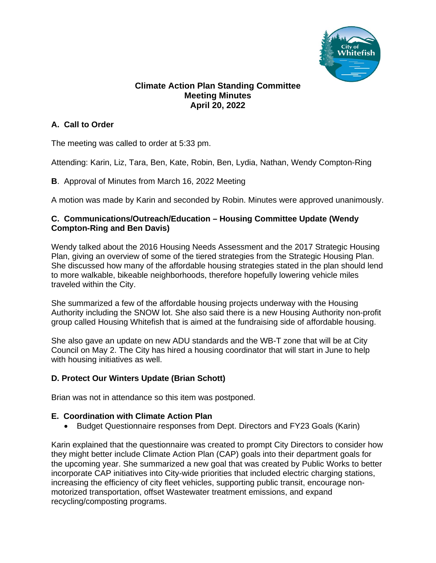

## **Climate Action Plan Standing Committee Meeting Minutes April 20, 2022**

## **A. Call to Order**

The meeting was called to order at 5:33 pm.

Attending: Karin, Liz, Tara, Ben, Kate, Robin, Ben, Lydia, Nathan, Wendy Compton-Ring

**B**. Approval of Minutes from March 16, 2022 Meeting

A motion was made by Karin and seconded by Robin. Minutes were approved unanimously.

## **C. Communications/Outreach/Education – Housing Committee Update (Wendy Compton-Ring and Ben Davis)**

Wendy talked about the 2016 Housing Needs Assessment and the 2017 Strategic Housing Plan, giving an overview of some of the tiered strategies from the Strategic Housing Plan. She discussed how many of the affordable housing strategies stated in the plan should lend to more walkable, bikeable neighborhoods, therefore hopefully lowering vehicle miles traveled within the City.

She summarized a few of the affordable housing projects underway with the Housing Authority including the SNOW lot. She also said there is a new Housing Authority non-profit group called Housing Whitefish that is aimed at the fundraising side of affordable housing.

She also gave an update on new ADU standards and the WB-T zone that will be at City Council on May 2. The City has hired a housing coordinator that will start in June to help with housing initiatives as well.

## **D. Protect Our Winters Update (Brian Schott)**

Brian was not in attendance so this item was postponed.

## **E. Coordination with Climate Action Plan**

• Budget Questionnaire responses from Dept. Directors and FY23 Goals (Karin)

Karin explained that the questionnaire was created to prompt City Directors to consider how they might better include Climate Action Plan (CAP) goals into their department goals for the upcoming year. She summarized a new goal that was created by Public Works to better incorporate CAP initiatives into City-wide priorities that included electric charging stations, increasing the efficiency of city fleet vehicles, supporting public transit, encourage nonmotorized transportation, offset Wastewater treatment emissions, and expand recycling/composting programs.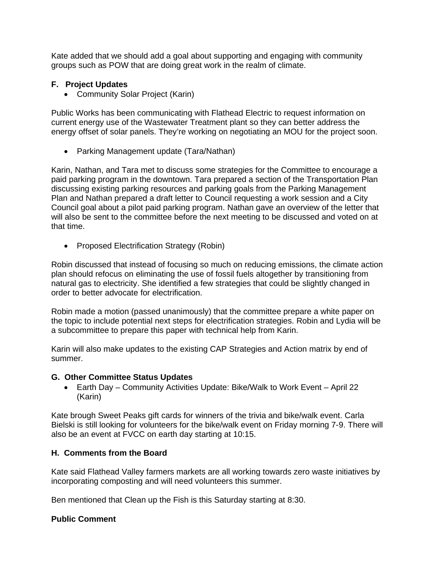Kate added that we should add a goal about supporting and engaging with community groups such as POW that are doing great work in the realm of climate.

## **F. Project Updates**

• Community Solar Project (Karin)

Public Works has been communicating with Flathead Electric to request information on current energy use of the Wastewater Treatment plant so they can better address the energy offset of solar panels. They're working on negotiating an MOU for the project soon.

• Parking Management update (Tara/Nathan)

Karin, Nathan, and Tara met to discuss some strategies for the Committee to encourage a paid parking program in the downtown. Tara prepared a section of the Transportation Plan discussing existing parking resources and parking goals from the Parking Management Plan and Nathan prepared a draft letter to Council requesting a work session and a City Council goal about a pilot paid parking program. Nathan gave an overview of the letter that will also be sent to the committee before the next meeting to be discussed and voted on at that time.

• Proposed Electrification Strategy (Robin)

Robin discussed that instead of focusing so much on reducing emissions, the climate action plan should refocus on eliminating the use of fossil fuels altogether by transitioning from natural gas to electricity. She identified a few strategies that could be slightly changed in order to better advocate for electrification.

Robin made a motion (passed unanimously) that the committee prepare a white paper on the topic to include potential next steps for electrification strategies. Robin and Lydia will be a subcommittee to prepare this paper with technical help from Karin.

Karin will also make updates to the existing CAP Strategies and Action matrix by end of summer.

## **G. Other Committee Status Updates**

• Earth Day – Community Activities Update: Bike/Walk to Work Event – April 22 (Karin)

Kate brough Sweet Peaks gift cards for winners of the trivia and bike/walk event. Carla Bielski is still looking for volunteers for the bike/walk event on Friday morning 7-9. There will also be an event at FVCC on earth day starting at 10:15.

## **H. Comments from the Board**

Kate said Flathead Valley farmers markets are all working towards zero waste initiatives by incorporating composting and will need volunteers this summer.

Ben mentioned that Clean up the Fish is this Saturday starting at 8:30.

## **Public Comment**